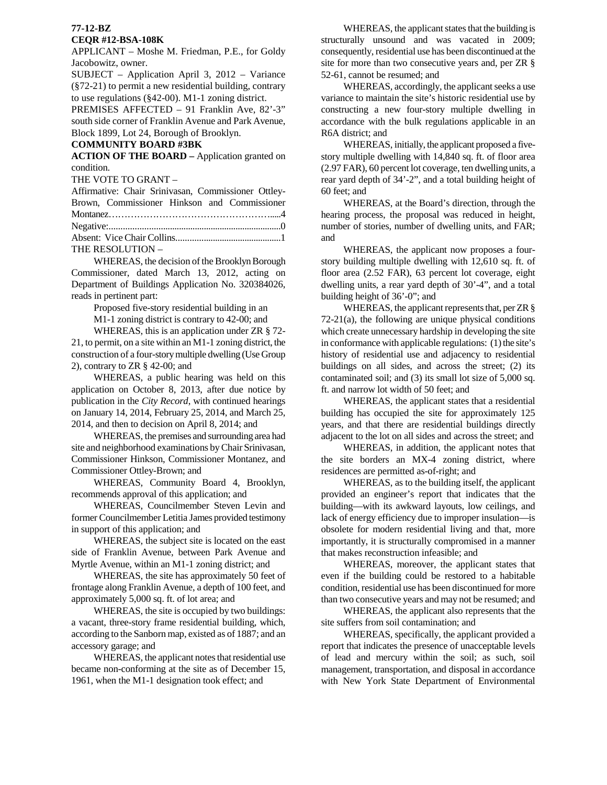# **77-12-BZ**

## **CEQR #12-BSA-108K**

APPLICANT – Moshe M. Friedman, P.E., for Goldy Jacobowitz, owner.

SUBJECT – Application April 3, 2012 – Variance (§72-21) to permit a new residential building, contrary to use regulations (§42-00). M1-1 zoning district.

PREMISES AFFECTED – 91 Franklin Ave, 82'-3" south side corner of Franklin Avenue and Park Avenue, Block 1899, Lot 24, Borough of Brooklyn.

#### **COMMUNITY BOARD #3BK**

**ACTION OF THE BOARD –** Application granted on condition.

THE VOTE TO GRANT –

| Affirmative: Chair Srinivasan, Commissioner Ottley- |  |
|-----------------------------------------------------|--|
| Brown, Commissioner Hinkson and Commissioner        |  |
|                                                     |  |
|                                                     |  |
|                                                     |  |
| THE RESOLUTION -                                    |  |

 WHEREAS, the decision of the Brooklyn Borough Commissioner, dated March 13, 2012, acting on Department of Buildings Application No. 320384026, reads in pertinent part:

Proposed five-story residential building in an

M1-1 zoning district is contrary to 42-00; and

 WHEREAS, this is an application under ZR § 72- 21, to permit, on a site within an M1-1 zoning district, the construction of a four-story multiple dwelling (Use Group 2), contrary to ZR § 42-00; and

 WHEREAS, a public hearing was held on this application on October 8, 2013, after due notice by publication in the *City Record*, with continued hearings on January 14, 2014, February 25, 2014, and March 25, 2014, and then to decision on April 8, 2014; and

 WHEREAS, the premises and surrounding area had site and neighborhood examinations by Chair Srinivasan, Commissioner Hinkson, Commissioner Montanez, and Commissioner Ottley-Brown; and

 WHEREAS, Community Board 4, Brooklyn, recommends approval of this application; and

 WHEREAS, Councilmember Steven Levin and former Councilmember Letitia James provided testimony in support of this application; and

 WHEREAS, the subject site is located on the east side of Franklin Avenue, between Park Avenue and Myrtle Avenue, within an M1-1 zoning district; and

 WHEREAS, the site has approximately 50 feet of frontage along Franklin Avenue, a depth of 100 feet, and approximately 5,000 sq. ft. of lot area; and

 WHEREAS, the site is occupied by two buildings: a vacant, three-story frame residential building, which, according to the Sanborn map, existed as of 1887; and an accessory garage; and

 WHEREAS, the applicant notes that residential use became non-conforming at the site as of December 15, 1961, when the M1-1 designation took effect; and

 WHEREAS, the applicant states that the building is structurally unsound and was vacated in 2009; consequently, residential use has been discontinued at the site for more than two consecutive years and, per ZR § 52-61, cannot be resumed; and

 WHEREAS, accordingly, the applicant seeks a use variance to maintain the site's historic residential use by constructing a new four-story multiple dwelling in accordance with the bulk regulations applicable in an R6A district; and

 WHEREAS, initially, the applicant proposed a fivestory multiple dwelling with 14,840 sq. ft. of floor area (2.97 FAR), 60 percent lot coverage, ten dwelling units, a rear yard depth of 34'-2", and a total building height of 60 feet; and

 WHEREAS, at the Board's direction, through the hearing process, the proposal was reduced in height, number of stories, number of dwelling units, and FAR; and

 WHEREAS, the applicant now proposes a fourstory building multiple dwelling with 12,610 sq. ft. of floor area (2.52 FAR), 63 percent lot coverage, eight dwelling units, a rear yard depth of 30'-4", and a total building height of 36'-0"; and

 WHEREAS, the applicant represents that, per ZR § 72-21(a), the following are unique physical conditions which create unnecessary hardship in developing the site in conformance with applicable regulations: (1) the site's history of residential use and adjacency to residential buildings on all sides, and across the street; (2) its contaminated soil; and (3) its small lot size of 5,000 sq. ft. and narrow lot width of 50 feet; and

 WHEREAS, the applicant states that a residential building has occupied the site for approximately 125 years, and that there are residential buildings directly adjacent to the lot on all sides and across the street; and

 WHEREAS, in addition, the applicant notes that the site borders an MX-4 zoning district, where residences are permitted as-of-right; and

 WHEREAS, as to the building itself, the applicant provided an engineer's report that indicates that the building—with its awkward layouts, low ceilings, and lack of energy efficiency due to improper insulation—is obsolete for modern residential living and that, more importantly, it is structurally compromised in a manner that makes reconstruction infeasible; and

 WHEREAS, moreover, the applicant states that even if the building could be restored to a habitable condition, residential use has been discontinued for more than two consecutive years and may not be resumed; and

 WHEREAS, the applicant also represents that the site suffers from soil contamination; and

 WHEREAS, specifically, the applicant provided a report that indicates the presence of unacceptable levels of lead and mercury within the soil; as such, soil management, transportation, and disposal in accordance with New York State Department of Environmental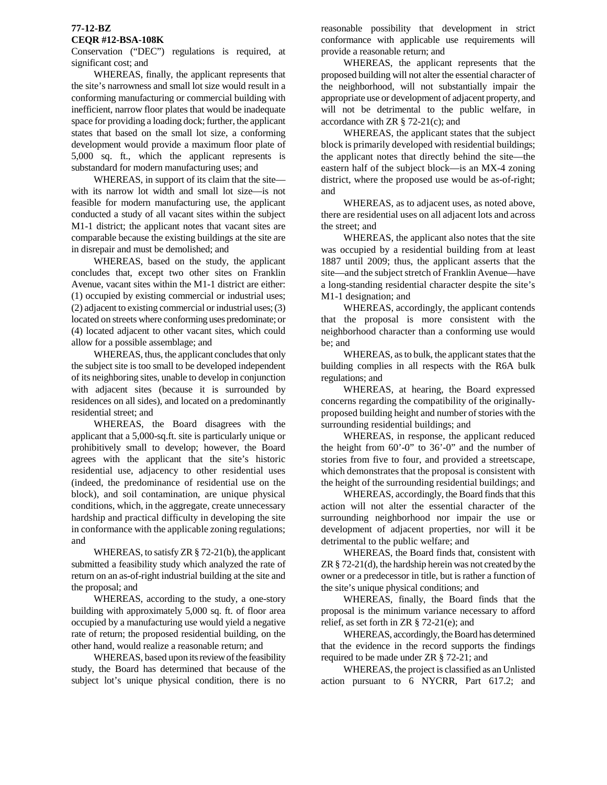## **77-12-BZ**

## **CEQR #12-BSA-108K**

Conservation ("DEC") regulations is required, at significant cost; and

 WHEREAS, finally, the applicant represents that the site's narrowness and small lot size would result in a conforming manufacturing or commercial building with inefficient, narrow floor plates that would be inadequate space for providing a loading dock; further, the applicant states that based on the small lot size, a conforming development would provide a maximum floor plate of 5,000 sq. ft., which the applicant represents is substandard for modern manufacturing uses; and

 WHEREAS, in support of its claim that the site with its narrow lot width and small lot size—is not feasible for modern manufacturing use, the applicant conducted a study of all vacant sites within the subject M1-1 district; the applicant notes that vacant sites are comparable because the existing buildings at the site are in disrepair and must be demolished; and

 WHEREAS, based on the study, the applicant concludes that, except two other sites on Franklin Avenue, vacant sites within the M1-1 district are either: (1) occupied by existing commercial or industrial uses; (2) adjacent to existing commercial or industrial uses; (3) located on streets where conforming uses predominate; or (4) located adjacent to other vacant sites, which could allow for a possible assemblage; and

 WHEREAS, thus, the applicant concludes that only the subject site is too small to be developed independent of its neighboring sites, unable to develop in conjunction with adjacent sites (because it is surrounded by residences on all sides), and located on a predominantly residential street; and

 WHEREAS, the Board disagrees with the applicant that a 5,000-sq.ft. site is particularly unique or prohibitively small to develop; however, the Board agrees with the applicant that the site's historic residential use, adjacency to other residential uses (indeed, the predominance of residential use on the block), and soil contamination, are unique physical conditions, which, in the aggregate, create unnecessary hardship and practical difficulty in developing the site in conformance with the applicable zoning regulations; and

WHEREAS, to satisfy ZR § 72-21(b), the applicant submitted a feasibility study which analyzed the rate of return on an as-of-right industrial building at the site and the proposal; and

 WHEREAS, according to the study, a one-story building with approximately 5,000 sq. ft. of floor area occupied by a manufacturing use would yield a negative rate of return; the proposed residential building, on the other hand, would realize a reasonable return; and

 WHEREAS, based upon its review of the feasibility study, the Board has determined that because of the subject lot's unique physical condition, there is no reasonable possibility that development in strict conformance with applicable use requirements will provide a reasonable return; and

 WHEREAS, the applicant represents that the proposed building will not alter the essential character of the neighborhood, will not substantially impair the appropriate use or development of adjacent property, and will not be detrimental to the public welfare, in accordance with  $ZR \S 72-21(c)$ ; and

 WHEREAS, the applicant states that the subject block is primarily developed with residential buildings; the applicant notes that directly behind the site—the eastern half of the subject block—is an MX-4 zoning district, where the proposed use would be as-of-right; and

 WHEREAS, as to adjacent uses, as noted above, there are residential uses on all adjacent lots and across the street; and

 WHEREAS, the applicant also notes that the site was occupied by a residential building from at least 1887 until 2009; thus, the applicant asserts that the site—and the subject stretch of Franklin Avenue—have a long-standing residential character despite the site's M1-1 designation; and

 WHEREAS, accordingly, the applicant contends that the proposal is more consistent with the neighborhood character than a conforming use would be; and

 WHEREAS, as to bulk, the applicant states that the building complies in all respects with the R6A bulk regulations; and

 WHEREAS, at hearing, the Board expressed concerns regarding the compatibility of the originallyproposed building height and number of stories with the surrounding residential buildings; and

 WHEREAS, in response, the applicant reduced the height from 60'-0" to 36'-0" and the number of stories from five to four, and provided a streetscape, which demonstrates that the proposal is consistent with the height of the surrounding residential buildings; and

 WHEREAS, accordingly, the Board finds that this action will not alter the essential character of the surrounding neighborhood nor impair the use or development of adjacent properties, nor will it be detrimental to the public welfare; and

 WHEREAS, the Board finds that, consistent with ZR § 72-21(d), the hardship herein was not created by the owner or a predecessor in title, but is rather a function of the site's unique physical conditions; and

 WHEREAS, finally, the Board finds that the proposal is the minimum variance necessary to afford relief, as set forth in ZR § 72-21(e); and

 WHEREAS, accordingly, the Board has determined that the evidence in the record supports the findings required to be made under ZR § 72-21; and

 WHEREAS, the project is classified as an Unlisted action pursuant to 6 NYCRR, Part 617.2; and